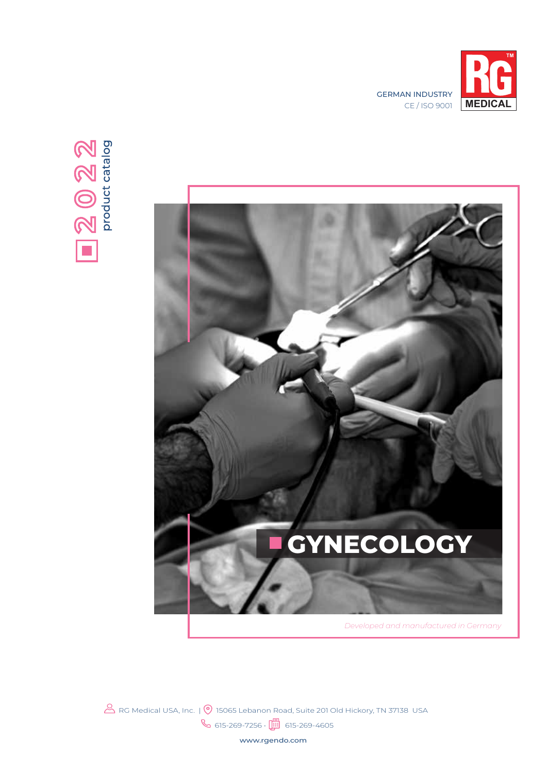





 $\mathcal B$  RG Medical USA, Inc. |  $\circledcirc$  15065 Lebanon Road, Suite 201 Old Hickory, TN 37138 USA  $\%$  615-269-7256 •  $\Box$  615-269-4605

www.rgendo.com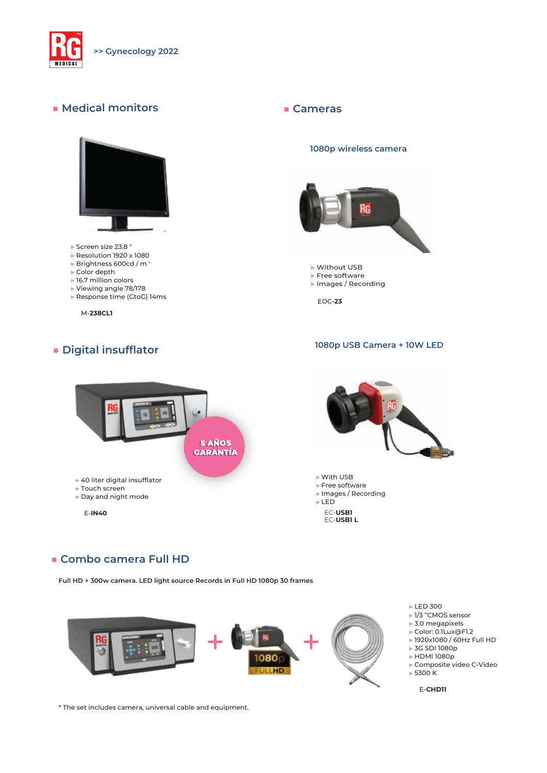

#### **■ Medical monitors**



- ▷ Screen size 23.8 "
- ▷ Resolution 1920 x 1080
- ▷ Brightness 600cd / m '
- ▷ Color depth
- ▷ 16.7 million colors
- ▷ Viewing angle 78/178 ▷ Response time (GtoG) 14ms
- 

M-**238CL1**

#### **■ Digital insufflator**

#### **■ Cameras**

#### **1080p wireless camera**



- ▷ Without USB
- ▷ Free software ▷ Images / Recording
- 

EOC**-23**

#### **1080p USB Camera + 10W LED**





▷ With USB ▷ Free software ▷ Images / Recording ▷ LED EC-**USB1** EC-**USB1 L**

#### **■ Combo camera Full HD**

**Full HD + 300w camera. LED light source Records in Full HD 1080p 30 frames**



▷ LED 300

- ▷ 1/3 "CMOS sensor ▷ 3.0 megapixels
- ▷ Color: 0.1Lux@F1.2
- ▷ 1920x1080 / 60Hz Full HD
- ▷ 3G SDI 1080p
- ▷ HDMI 1080p
- ▷ Composite video C-Video  $\triangleright$  5300 K

E-**CHD11**

\* The set includes camera, universal cable and equipment.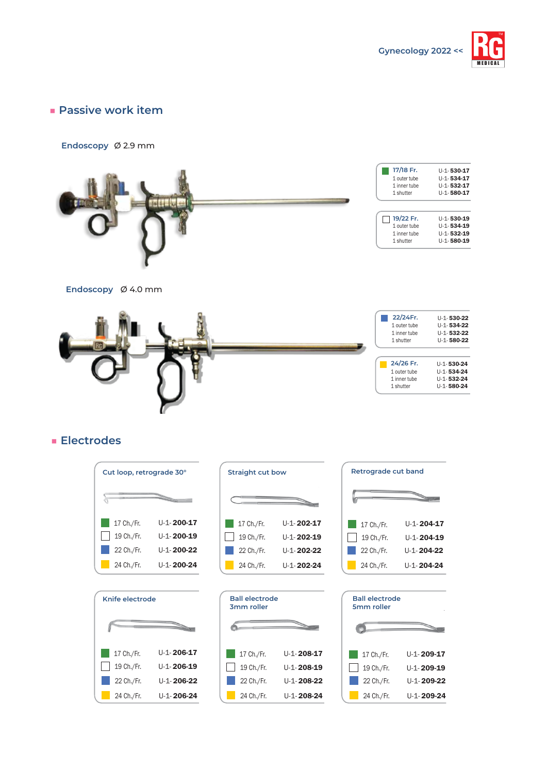

## **■ Passive work item**

#### **Endoscopy** Ø 2.9 mm



| 17/18 Fr.<br>1 outer tube<br>1 inner tube<br>1 shutter | $U-1-530-17$<br>$U-1-534-17$<br>$U-1-532-17$<br>$U-1-580-17$ |
|--------------------------------------------------------|--------------------------------------------------------------|
|                                                        |                                                              |
|                                                        |                                                              |

| $\Box$ 19/22 Fr. | $U-1-530-19$ |
|------------------|--------------|
| 1 outer tube     | $U-1-534-19$ |
| 1 inner tube     | $U-1-532-19$ |
| 1 shutter        | $U-1-580-19$ |
|                  |              |

**Endoscopy** Ø 4.0 mm



# **■ Electrodes**





| <b>Straight cut bow</b> |                     |  |  |
|-------------------------|---------------------|--|--|
|                         |                     |  |  |
| 17 Ch./Fr.              | U-1-202-17          |  |  |
| 19 Ch./Fr.              | U-1-202-19          |  |  |
| 22 Ch./Fr.              | $11 - 1 - 202 - 22$ |  |  |
| 24 Ch./Fr.              | $11 - 1 - 202 - 24$ |  |  |

| <b>Ball electrode</b><br>3mm roller |                     |  |  |
|-------------------------------------|---------------------|--|--|
|                                     |                     |  |  |
| 17 Ch./Fr.                          | $11 - 1 - 208 - 17$ |  |  |
| 19 Ch./Fr.                          | $11 - 1 - 208 - 19$ |  |  |
| 22 Ch./Fr.                          | $11 - 1 - 208 - 22$ |  |  |
| 24 Ch./Fr.                          | $U-1 - 208 - 24$    |  |  |

| Retrograde cut band |  |  |  |  |
|---------------------|--|--|--|--|
|                     |  |  |  |  |
|                     |  |  |  |  |
| $11 - 1 - 204 - 17$ |  |  |  |  |
| $11 - 1 - 204 - 19$ |  |  |  |  |
| $11 - 1 - 204 - 22$ |  |  |  |  |
| U-1-204-24          |  |  |  |  |
|                     |  |  |  |  |

| <b>Ball electrode</b><br>5mm roller |                     |  |  |
|-------------------------------------|---------------------|--|--|
|                                     |                     |  |  |
| 17 Ch./Fr.                          | $11 - 1 - 209 - 17$ |  |  |
| 19 Ch./Fr.                          | $11 - 1 - 209 - 19$ |  |  |
| 22 Ch./Fr.                          | $11 - 1 - 209 - 22$ |  |  |
| 24 Ch./Fr.                          | $U-1 - 209-24$      |  |  |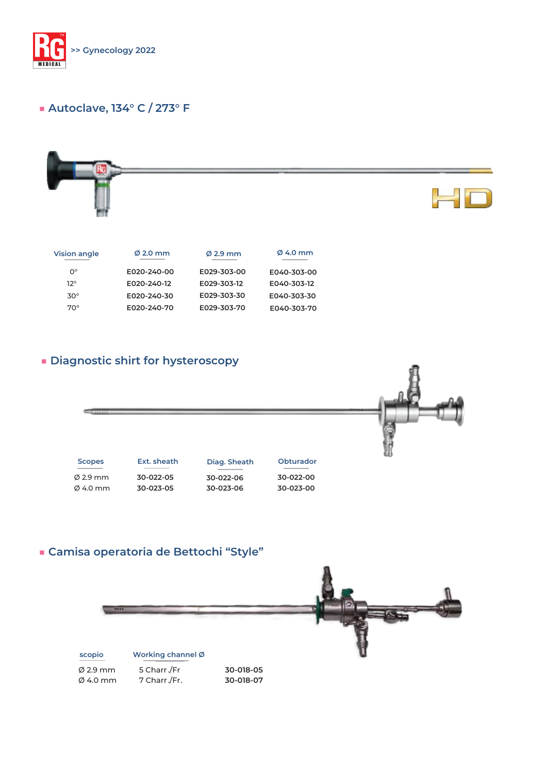

# **■ Autoclave, 134° C / 273° F**



| <b>Vision angle</b> | $\emptyset$ 2.0 mm | $\varnothing$ 2.9 mm | $\emptyset$ 4.0 mm |
|---------------------|--------------------|----------------------|--------------------|
| $O^{\circ}$         | E020-240-00        | E029-303-00          | E040-303-00        |
| 12°                 | E020-240-12        | E029-303-12          | E040-303-12        |
| $30^\circ$          | E020-240-30        | E029-303-30          | E040-303-30        |
| $70^\circ$          | E020-240-70        | E029-303-70          | E040-303-70        |

# **■ Diagnostic shirt for hysteroscopy**



# **■ Camisa operatoria de Bettochi "Style"**

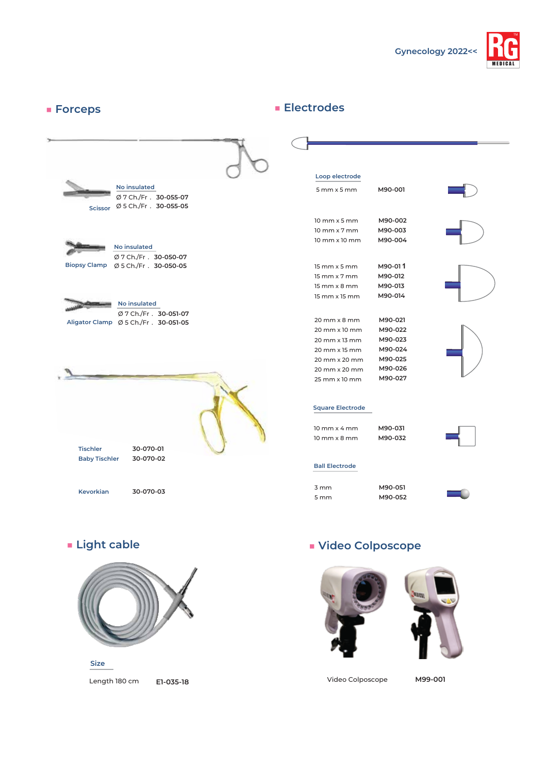

#### **■ Forceps No insulated** Ø 7 Ch./Fr . **30-050-07** Ø 5 Ch./Fr . **30-050-05 Biopsy Clamp No insulated** Ø 7 Ch./Fr . **30-051-07** Ø 5 Ch./Fr . **30-051-05 Aligator Clamp 30-055-07 30-055-05 No insulated**  $\varnothing$  7 Ch./Fr . Ø 5 Ch./Fr . **Scissor Tischler Baby Tischler Kevorkian 30-070-01 30-070-02 30-070-03 ■ Electrodes**  15 mm x 5 mm 15 mm x 7 mm 15 mm x 8 mm 15 mm x 15 mm **M90-01 1 M90-012 M90-013 M90-014** 5 mm x 5 mm **M90-001** 10 mm x 5 mm 10 mm x 7 mm 10 mm x 10 mm **M90-002 M90-003 M90-004** 3 mm 5 mm **M90-051 M90-052** 10 mm x 4 mm 10 mm x 8 mm **M90-031 M90-032** 20 mm x 8 mm 20 mm x 10 mm 20 mm x 13 mm 20 mm x 15 mm 20 mm x 20 mm 20 mm x 20 mm 25 mm x 10 mm **M90-021 M90-022 M90-023 M90-024 M90-025 M90-026 M90-027 Loop electrode Square Electrode Ball Electrode**



Length 180 cm **E1-035-18 Size**

# **■ Light cable ■ Video Colposcope**





Video Colposcope **M99-001**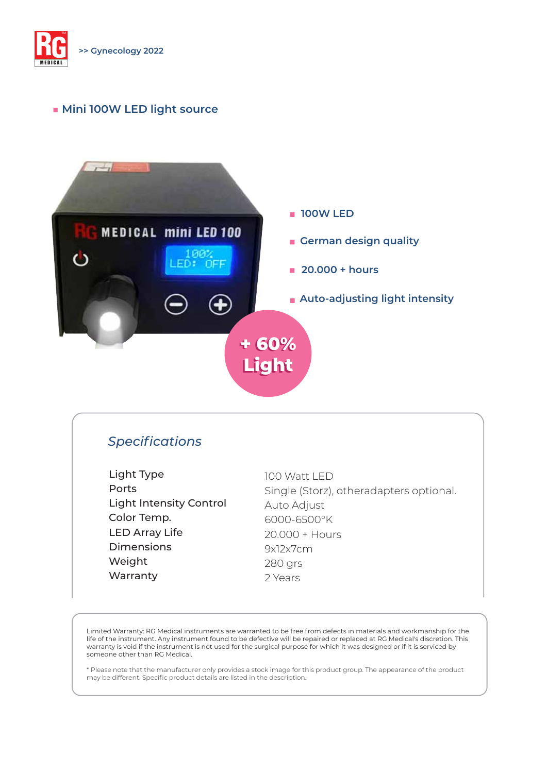

MEDICA L

TM

### **■ Mini 100W LED light source**



# *Specifications*

Light Type Ports Light Intensity Control Color Temp. LED Array Life Dimensions Weight Warranty

100 Watt LED Single (Storz), otheradapters optional. Auto Adjust 6000-6500°K 20.000 + Hours 9x12x7cm 280 grs 2 Years

Limited Warranty: RG Medical instruments are warranted to be free from defects in materials and workmanship for the life of the instrument. Any instrument found to be defective will be repaired or replaced at RG Medical's discretion. This warranty is void if the instrument is not used for the surgical purpose for which it was designed or if it is serviced by someone other than RG Medical.

\* Please note that the manufacturer only provides a stock image for this product group. The appearance of the product may be different. Specific product details are listed in the description.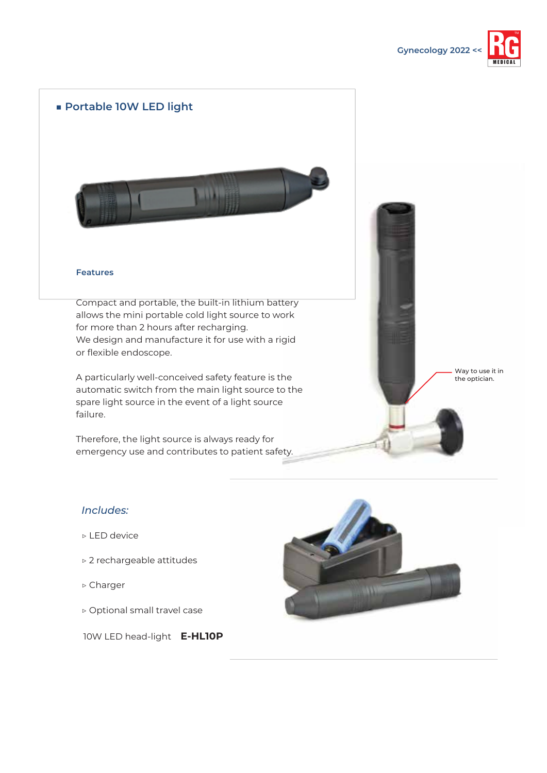

# **■ Portable 10W LED light**



#### **Features**

Compact and portable, the built-in lithium battery allows the mini portable cold light source to work for more than 2 hours after recharging. We design and manufacture it for use with a rigid or flexible endoscope.

A particularly well-conceived safety feature is the automatic switch from the main light source to the spare light source in the event of a light source failure.

Therefore, the light source is always ready for emergency use and contributes to patient safety.

#### *Includes:*

- ▷ LED device
- ▷ 2 rechargeable attitudes
- ▷ Charger
- ▷ Optional small travel case